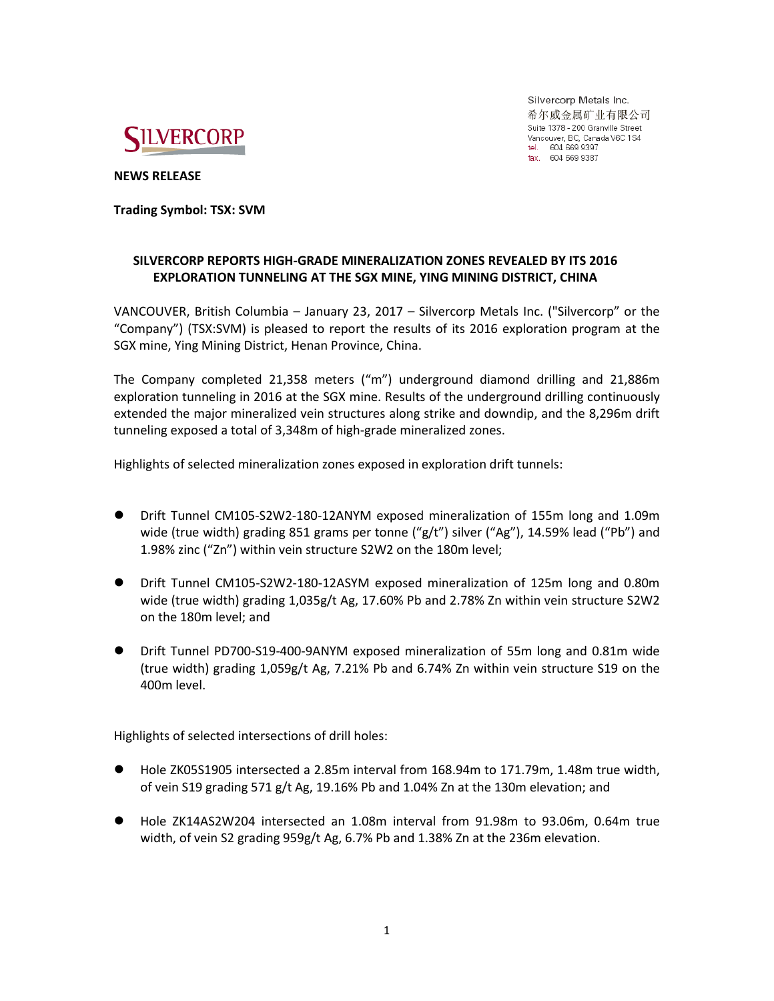

Silvercorp Metals Inc. 希尔威金属矿业有限公司 Suite 1378 - 200 Granville Street Vancouver, BC, Canada V6C 1S4 tel. 604 669 9397<br>fax. 604 669 9397

**NEWS RELEASE**

### **Trading Symbol: TSX: SVM**

# **SILVERCORP REPORTS HIGH-GRADE MINERALIZATION ZONES REVEALED BY ITS 2016 EXPLORATION TUNNELING AT THE SGX MINE, YING MINING DISTRICT, CHINA**

VANCOUVER, British Columbia – January 23, 2017 – Silvercorp Metals Inc. ("Silvercorp" or the "Company") (TSX:SVM) is pleased to report the results of its 2016 exploration program at the SGX mine, Ying Mining District, Henan Province, China.

The Company completed 21,358 meters ("m") underground diamond drilling and 21,886m exploration tunneling in 2016 at the SGX mine. Results of the underground drilling continuously extended the major mineralized vein structures along strike and downdip, and the 8,296m drift tunneling exposed a total of 3,348m of high-grade mineralized zones.

Highlights of selected mineralization zones exposed in exploration drift tunnels:

- Drift Tunnel CM105-S2W2-180-12ANYM exposed mineralization of 155m long and 1.09m wide (true width) grading 851 grams per tonne ("g/t") silver ("Ag"), 14.59% lead ("Pb") and 1.98% zinc ("Zn") within vein structure S2W2 on the 180m level;
- Drift Tunnel CM105-S2W2-180-12ASYM exposed mineralization of 125m long and 0.80m wide (true width) grading 1,035g/t Ag, 17.60% Pb and 2.78% Zn within vein structure S2W2 on the 180m level; and
- Drift Tunnel PD700-S19-400-9ANYM exposed mineralization of 55m long and 0.81m wide (true width) grading 1,059g/t Ag, 7.21% Pb and 6.74% Zn within vein structure S19 on the 400m level.

Highlights of selected intersections of drill holes:

- Hole ZK05S1905 intersected a 2.85m interval from 168.94m to 171.79m, 1.48m true width, of vein S19 grading 571 g/t Ag, 19.16% Pb and 1.04% Zn at the 130m elevation; and
- Hole ZK14AS2W204 intersected an 1.08m interval from 91.98m to 93.06m, 0.64m true width, of vein S2 grading 959g/t Ag, 6.7% Pb and 1.38% Zn at the 236m elevation.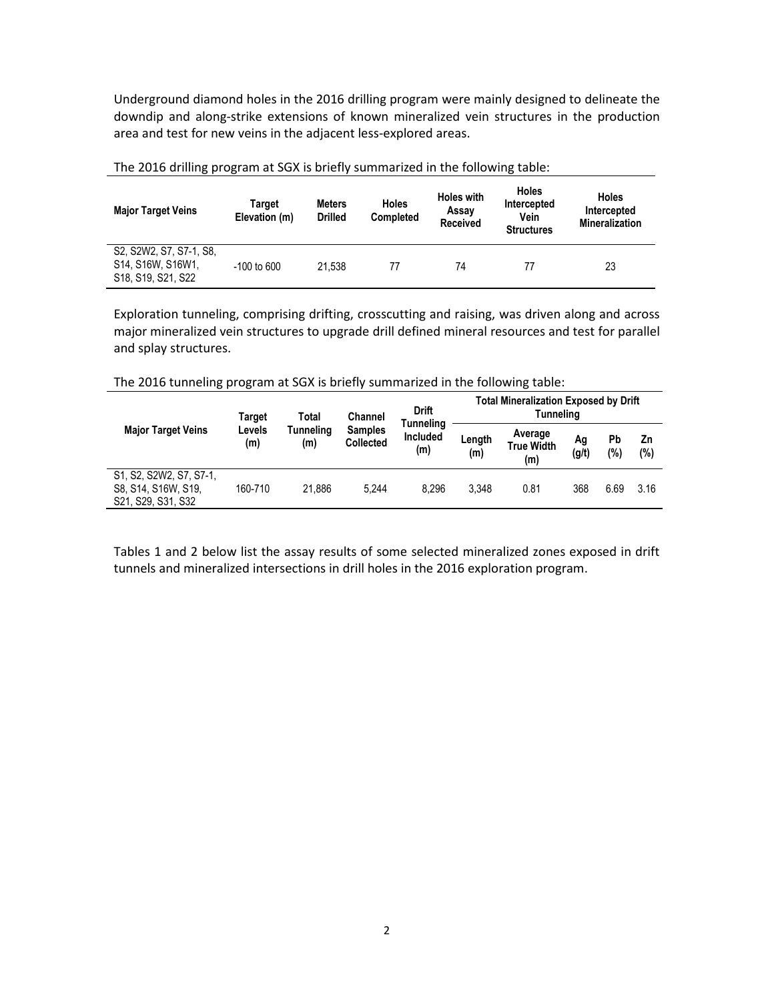Underground diamond holes in the 2016 drilling program were mainly designed to delineate the downdip and along-strike extensions of known mineralized vein structures in the production area and test for new veins in the adjacent less-explored areas.

| <b>Major Target Veins</b>                                                                                             | Target<br>Elevation (m) | <b>Meters</b><br><b>Drilled</b> | <b>Holes</b><br><b>Completed</b> | <b>Holes with</b><br>Assay<br><b>Received</b> | <b>Holes</b><br>Intercepted<br>Vein<br><b>Structures</b> | <b>Holes</b><br>Intercepted<br><b>Mineralization</b> |
|-----------------------------------------------------------------------------------------------------------------------|-------------------------|---------------------------------|----------------------------------|-----------------------------------------------|----------------------------------------------------------|------------------------------------------------------|
| S2, S2W2, S7, S7-1, S8,<br>S14, S16W, S16W1.<br>S <sub>18</sub> , S <sub>19</sub> , S <sub>21</sub> , S <sub>22</sub> | $-100$ to 600           | 21.538                          | 77                               | 74                                            | 77                                                       | 23                                                   |

### The 2016 drilling program at SGX is briefly summarized in the following table:

Exploration tunneling, comprising drifting, crosscutting and raising, was driven along and across major mineralized vein structures to upgrade drill defined mineral resources and test for parallel and splay structures.

## The 2016 tunneling program at SGX is briefly summarized in the following table:

|                                                                      | Target        | Total            | Channel<br><b>Samples</b><br><b>Collected</b> | <b>Drift</b><br>Tunneling<br>Included<br>(m) | <b>Total Mineralization Exposed by Drift</b><br>Tunnelina |                                     |             |           |           |
|----------------------------------------------------------------------|---------------|------------------|-----------------------------------------------|----------------------------------------------|-----------------------------------------------------------|-------------------------------------|-------------|-----------|-----------|
| <b>Major Target Veins</b>                                            | Levels<br>(m) | Tunneling<br>(m) |                                               |                                              | Length<br>(m)                                             | Average<br><b>True Width</b><br>(m) | Ag<br>(g/t) | Pb<br>(%) | Zn<br>(%) |
| S1, S2, S2W2, S7, S7-1,<br>S8, S14, S16W, S19,<br>S21, S29, S31, S32 | 160-710       | 21.886           | 5.244                                         | 8.296                                        | 3.348                                                     | 0.81                                | 368         | 6.69      | 3.16      |

Tables 1 and 2 below list the assay results of some selected mineralized zones exposed in drift tunnels and mineralized intersections in drill holes in the 2016 exploration program.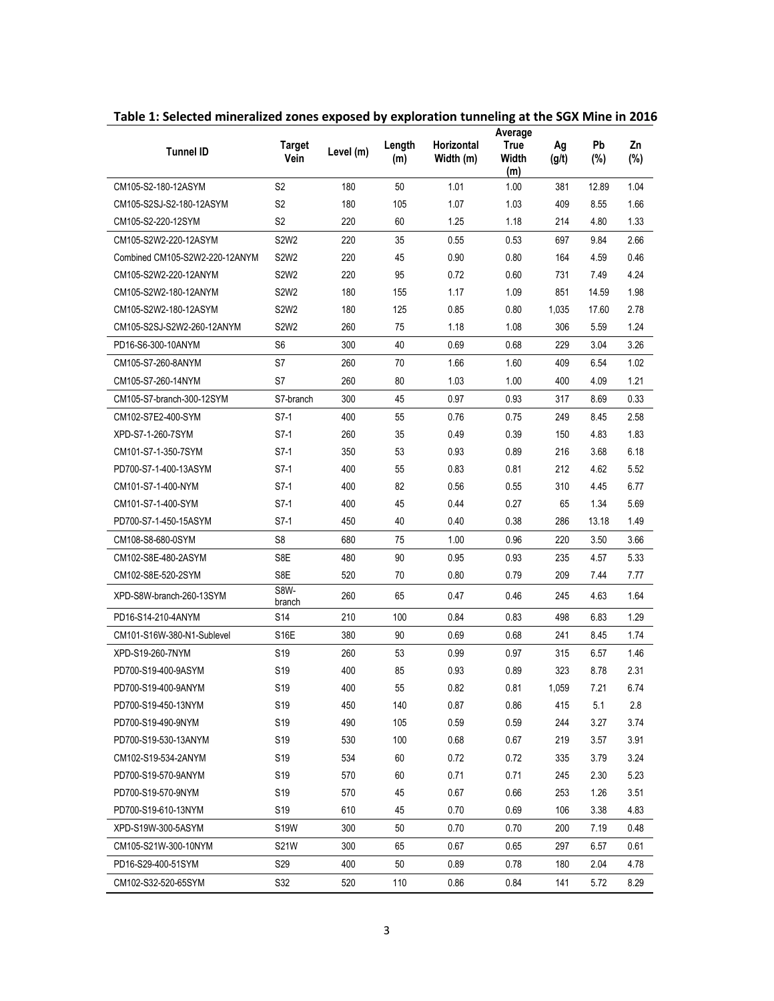|                                |                       |           |               |                                | Average<br><b>True</b> |             |           |           |
|--------------------------------|-----------------------|-----------|---------------|--------------------------------|------------------------|-------------|-----------|-----------|
| <b>Tunnel ID</b>               | <b>Target</b><br>Vein | Level (m) | Length<br>(m) | <b>Horizontal</b><br>Width (m) | Width<br>(m)           | Ag<br>(g/t) | Pb<br>(%) | Zn<br>(%) |
| CM105-S2-180-12ASYM            | S <sub>2</sub>        | 180       | 50            | 1.01                           | 1.00                   | 381         | 12.89     | 1.04      |
| CM105-S2SJ-S2-180-12ASYM       | S <sub>2</sub>        | 180       | 105           | 1.07                           | 1.03                   | 409         | 8.55      | 1.66      |
| CM105-S2-220-12SYM             | S <sub>2</sub>        | 220       | 60            | 1.25                           | 1.18                   | 214         | 4.80      | 1.33      |
| CM105-S2W2-220-12ASYM          | <b>S2W2</b>           | 220       | 35            | 0.55                           | 0.53                   | 697         | 9.84      | 2.66      |
| Combined CM105-S2W2-220-12ANYM | S2W2                  | 220       | 45            | 0.90                           | 0.80                   | 164         | 4.59      | 0.46      |
| CM105-S2W2-220-12ANYM          | S2W2                  | 220       | 95            | 0.72                           | 0.60                   | 731         | 7.49      | 4.24      |
| CM105-S2W2-180-12ANYM          | S2W2                  | 180       | 155           | 1.17                           | 1.09                   | 851         | 14.59     | 1.98      |
| CM105-S2W2-180-12ASYM          | <b>S2W2</b>           | 180       | 125           | 0.85                           | 0.80                   | 1,035       | 17.60     | 2.78      |
| CM105-S2SJ-S2W2-260-12ANYM     | <b>S2W2</b>           | 260       | 75            | 1.18                           | 1.08                   | 306         | 5.59      | 1.24      |
| PD16-S6-300-10ANYM             | S <sub>6</sub>        | 300       | 40            | 0.69                           | 0.68                   | 229         | 3.04      | 3.26      |
| CM105-S7-260-8ANYM             | S7                    | 260       | 70            | 1.66                           | 1.60                   | 409         | 6.54      | 1.02      |
| CM105-S7-260-14NYM             | S7                    | 260       | 80            | 1.03                           | 1.00                   | 400         | 4.09      | 1.21      |
| CM105-S7-branch-300-12SYM      | S7-branch             | 300       | 45            | 0.97                           | 0.93                   | 317         | 8.69      | 0.33      |
| CM102-S7E2-400-SYM             | $S7-1$                | 400       | 55            | 0.76                           | 0.75                   | 249         | 8.45      | 2.58      |
| XPD-S7-1-260-7SYM              | $S7-1$                | 260       | 35            | 0.49                           | 0.39                   | 150         | 4.83      | 1.83      |
| CM101-S7-1-350-7SYM            | $S7-1$                | 350       | 53            | 0.93                           | 0.89                   | 216         | 3.68      | 6.18      |
| PD700-S7-1-400-13ASYM          | $S7-1$                | 400       | 55            | 0.83                           | 0.81                   | 212         | 4.62      | 5.52      |
| CM101-S7-1-400-NYM             | $S7-1$                | 400       | 82            | 0.56                           | 0.55                   | 310         | 4.45      | 6.77      |
| CM101-S7-1-400-SYM             | $S7-1$                | 400       | 45            | 0.44                           | 0.27                   | 65          | 1.34      | 5.69      |
| PD700-S7-1-450-15ASYM          | $S7-1$                | 450       | 40            | 0.40                           | 0.38                   | 286         | 13.18     | 1.49      |
| CM108-S8-680-0SYM              | S <sub>8</sub>        | 680       | 75            | 1.00                           | 0.96                   | 220         | 3.50      | 3.66      |
| CM102-S8E-480-2ASYM            | S8E                   | 480       | 90            | 0.95                           | 0.93                   | 235         | 4.57      | 5.33      |
| CM102-S8E-520-2SYM             | S8E                   | 520       | 70            | 0.80                           | 0.79                   | 209         | 7.44      | 7.77      |
| XPD-S8W-branch-260-13SYM       | <b>S8W-</b><br>branch | 260       | 65            | 0.47                           | 0.46                   | 245         | 4.63      | 1.64      |
| PD16-S14-210-4ANYM             | S <sub>14</sub>       | 210       | 100           | 0.84                           | 0.83                   | 498         | 6.83      | 1.29      |
| CM101-S16W-380-N1-Sublevel     | S16E                  | 380       | 90            | 0.69                           | 0.68                   | 241         | 8.45      | 1.74      |
| XPD-S19-260-7NYM               | S <sub>19</sub>       | 260       | 53            | 0.99                           | 0.97                   | 315         | 6.57      | 1.46      |
| PD700-S19-400-9ASYM            | S <sub>19</sub>       | 400       | 85            | 0.93                           | 0.89                   | 323         | 8.78      | 2.31      |
| PD700-S19-400-9ANYM            | S <sub>19</sub>       | 400       | 55            | 0.82                           | 0.81                   | 1,059       | 7.21      | 6.74      |
| PD700-S19-450-13NYM            | S <sub>19</sub>       | 450       | 140           | 0.87                           | 0.86                   | 415         | 5.1       | 2.8       |
| PD700-S19-490-9NYM             | S19                   | 490       | 105           | 0.59                           | 0.59                   | 244         | 3.27      | 3.74      |
| PD700-S19-530-13ANYM           | S <sub>19</sub>       | 530       | 100           | 0.68                           | 0.67                   | 219         | 3.57      | 3.91      |
| CM102-S19-534-2ANYM            | S <sub>19</sub>       | 534       | 60            | 0.72                           | 0.72                   | 335         | 3.79      | 3.24      |
| PD700-S19-570-9ANYM            | S19                   | 570       | 60            | 0.71                           | 0.71                   | 245         | 2.30      | 5.23      |
| PD700-S19-570-9NYM             | S <sub>19</sub>       | 570       | 45            | 0.67                           | 0.66                   | 253         | 1.26      | 3.51      |
| PD700-S19-610-13NYM            | S19                   | 610       | 45            | 0.70                           | 0.69                   | 106         | 3.38      | 4.83      |
| XPD-S19W-300-5ASYM             | <b>S19W</b>           | 300       | 50            | 0.70                           | 0.70                   | 200         | 7.19      | 0.48      |
| CM105-S21W-300-10NYM           | S21W                  | 300       | 65            | 0.67                           | 0.65                   | 297         | 6.57      | 0.61      |
| PD16-S29-400-51SYM             | S <sub>29</sub>       | 400       | 50            | 0.89                           | 0.78                   | 180         | 2.04      | 4.78      |
| CM102-S32-520-65SYM            | S32                   | 520       | 110           | 0.86                           | 0.84                   | 141         | 5.72      | 8.29      |

**Table 1: Selected mineralized zones exposed by exploration tunneling at the SGX Mine in 2016**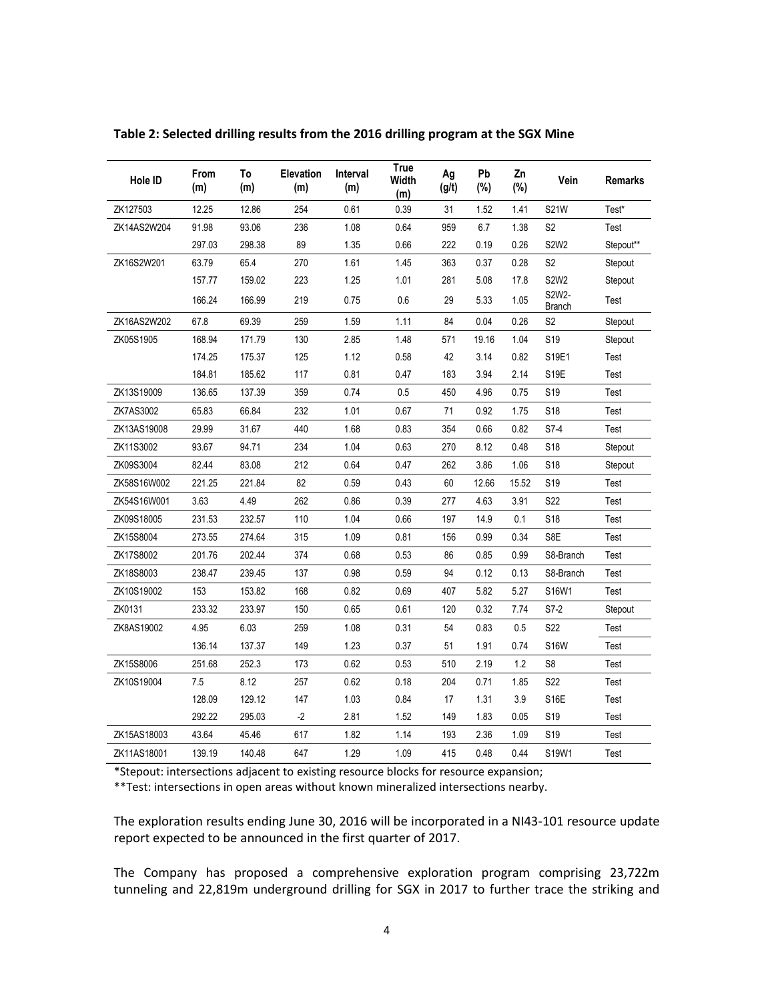| Hole ID     | From<br>(m) | To<br>(m) | Elevation<br>(m) | <b>Interval</b><br>(m) | True<br>Width<br>(m) | Ag<br>(g/t) | Pb<br>(%) | Zn<br>(%) | Vein                   | <b>Remarks</b> |
|-------------|-------------|-----------|------------------|------------------------|----------------------|-------------|-----------|-----------|------------------------|----------------|
| ZK127503    | 12.25       | 12.86     | 254              | 0.61                   | 0.39                 | 31          | 1.52      | 1.41      | <b>S21W</b>            | Test*          |
| ZK14AS2W204 | 91.98       | 93.06     | 236              | 1.08                   | 0.64                 | 959         | 6.7       | 1.38      | S <sub>2</sub>         | Test           |
|             | 297.03      | 298.38    | 89               | 1.35                   | 0.66                 | 222         | 0.19      | 0.26      | <b>S2W2</b>            | Stepout**      |
| ZK16S2W201  | 63.79       | 65.4      | 270              | 1.61                   | 1.45                 | 363         | 0.37      | 0.28      | S <sub>2</sub>         | Stepout        |
|             | 157.77      | 159.02    | 223              | 1.25                   | 1.01                 | 281         | 5.08      | 17.8      | <b>S2W2</b>            | Stepout        |
|             | 166.24      | 166.99    | 219              | 0.75                   | 0.6                  | 29          | 5.33      | 1.05      | S2W2-<br><b>Branch</b> | Test           |
| ZK16AS2W202 | 67.8        | 69.39     | 259              | 1.59                   | 1.11                 | 84          | 0.04      | 0.26      | S <sub>2</sub>         | Stepout        |
| ZK05S1905   | 168.94      | 171.79    | 130              | 2.85                   | 1.48                 | 571         | 19.16     | 1.04      | S <sub>19</sub>        | Stepout        |
|             | 174.25      | 175.37    | 125              | 1.12                   | 0.58                 | 42          | 3.14      | 0.82      | S19E1                  | Test           |
|             | 184.81      | 185.62    | 117              | 0.81                   | 0.47                 | 183         | 3.94      | 2.14      | S <sub>19E</sub>       | Test           |
| ZK13S19009  | 136.65      | 137.39    | 359              | 0.74                   | 0.5                  | 450         | 4.96      | 0.75      | S <sub>19</sub>        | Test           |
| ZK7AS3002   | 65.83       | 66.84     | 232              | 1.01                   | 0.67                 | 71          | 0.92      | 1.75      | S <sub>18</sub>        | Test           |
| ZK13AS19008 | 29.99       | 31.67     | 440              | 1.68                   | 0.83                 | 354         | 0.66      | 0.82      | S7-4                   | Test           |
| ZK11S3002   | 93.67       | 94.71     | 234              | 1.04                   | 0.63                 | 270         | 8.12      | 0.48      | S <sub>18</sub>        | Stepout        |
| ZK09S3004   | 82.44       | 83.08     | 212              | 0.64                   | 0.47                 | 262         | 3.86      | 1.06      | S <sub>18</sub>        | Stepout        |
| ZK58S16W002 | 221.25      | 221.84    | 82               | 0.59                   | 0.43                 | 60          | 12.66     | 15.52     | S <sub>19</sub>        | Test           |
| ZK54S16W001 | 3.63        | 4.49      | 262              | 0.86                   | 0.39                 | 277         | 4.63      | 3.91      | S22                    | Test           |
| ZK09S18005  | 231.53      | 232.57    | 110              | 1.04                   | 0.66                 | 197         | 14.9      | 0.1       | S <sub>18</sub>        | Test           |
| ZK15S8004   | 273.55      | 274.64    | 315              | 1.09                   | 0.81                 | 156         | 0.99      | 0.34      | S8E                    | Test           |
| ZK17S8002   | 201.76      | 202.44    | 374              | 0.68                   | 0.53                 | 86          | 0.85      | 0.99      | S8-Branch              | Test           |
| ZK18S8003   | 238.47      | 239.45    | 137              | 0.98                   | 0.59                 | 94          | 0.12      | 0.13      | S8-Branch              | Test           |
| ZK10S19002  | 153         | 153.82    | 168              | 0.82                   | 0.69                 | 407         | 5.82      | 5.27      | S16W1                  | Test           |
| ZK0131      | 233.32      | 233.97    | 150              | 0.65                   | 0.61                 | 120         | 0.32      | 7.74      | S7-2                   | Stepout        |
| ZK8AS19002  | 4.95        | 6.03      | 259              | 1.08                   | 0.31                 | 54          | 0.83      | 0.5       | S22                    | Test           |
|             | 136.14      | 137.37    | 149              | 1.23                   | 0.37                 | 51          | 1.91      | 0.74      | <b>S16W</b>            | Test           |
| ZK15S8006   | 251.68      | 252.3     | 173              | 0.62                   | 0.53                 | 510         | 2.19      | 1.2       | S <sub>8</sub>         | Test           |
| ZK10S19004  | 7.5         | 8.12      | 257              | 0.62                   | 0.18                 | 204         | 0.71      | 1.85      | S22                    | Test           |
|             | 128.09      | 129.12    | 147              | 1.03                   | 0.84                 | 17          | 1.31      | 3.9       | <b>S16E</b>            | Test           |
|             | 292.22      | 295.03    | $-2$             | 2.81                   | 1.52                 | 149         | 1.83      | 0.05      | S19                    | Test           |
| ZK15AS18003 | 43.64       | 45.46     | 617              | 1.82                   | 1.14                 | 193         | 2.36      | 1.09      | S19                    | Test           |
| ZK11AS18001 | 139.19      | 140.48    | 647              | 1.29                   | 1.09                 | 415         | 0.48      | 0.44      | S19W1                  | Test           |

**Table 2: Selected drilling results from the 2016 drilling program at the SGX Mine**

\*Stepout: intersections adjacent to existing resource blocks for resource expansion;

\*\*Test: intersections in open areas without known mineralized intersections nearby.

The exploration results ending June 30, 2016 will be incorporated in a NI43-101 resource update report expected to be announced in the first quarter of 2017.

The Company has proposed a comprehensive exploration program comprising 23,722m tunneling and 22,819m underground drilling for SGX in 2017 to further trace the striking and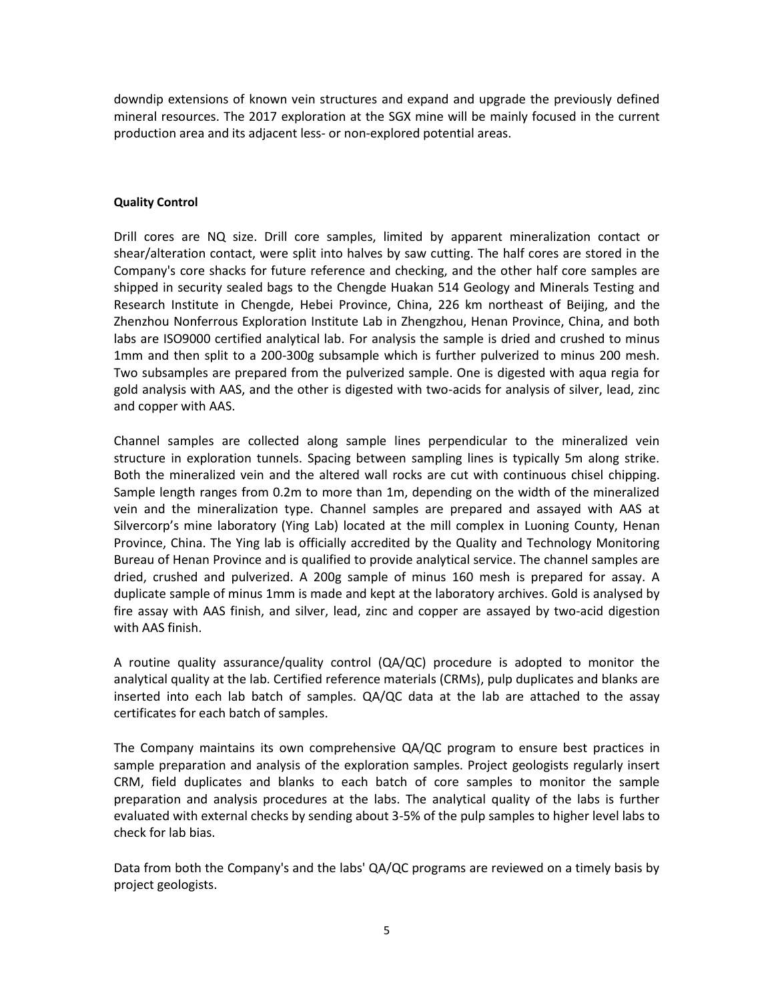downdip extensions of known vein structures and expand and upgrade the previously defined mineral resources. The 2017 exploration at the SGX mine will be mainly focused in the current production area and its adjacent less- or non-explored potential areas.

### **Quality Control**

Drill cores are NQ size. Drill core samples, limited by apparent mineralization contact or shear/alteration contact, were split into halves by saw cutting. The half cores are stored in the Company's core shacks for future reference and checking, and the other half core samples are shipped in security sealed bags to the Chengde Huakan 514 Geology and Minerals Testing and Research Institute in Chengde, Hebei Province, China, 226 km northeast of Beijing, and the Zhenzhou Nonferrous Exploration Institute Lab in Zhengzhou, Henan Province, China, and both labs are ISO9000 certified analytical lab. For analysis the sample is dried and crushed to minus 1mm and then split to a 200-300g subsample which is further pulverized to minus 200 mesh. Two subsamples are prepared from the pulverized sample. One is digested with aqua regia for gold analysis with AAS, and the other is digested with two-acids for analysis of silver, lead, zinc and copper with AAS.

Channel samples are collected along sample lines perpendicular to the mineralized vein structure in exploration tunnels. Spacing between sampling lines is typically 5m along strike. Both the mineralized vein and the altered wall rocks are cut with continuous chisel chipping. Sample length ranges from 0.2m to more than 1m, depending on the width of the mineralized vein and the mineralization type. Channel samples are prepared and assayed with AAS at Silvercorp's mine laboratory (Ying Lab) located at the mill complex in Luoning County, Henan Province, China. The Ying lab is officially accredited by the Quality and Technology Monitoring Bureau of Henan Province and is qualified to provide analytical service. The channel samples are dried, crushed and pulverized. A 200g sample of minus 160 mesh is prepared for assay. A duplicate sample of minus 1mm is made and kept at the laboratory archives. Gold is analysed by fire assay with AAS finish, and silver, lead, zinc and copper are assayed by two-acid digestion with AAS finish.

A routine quality assurance/quality control (QA/QC) procedure is adopted to monitor the analytical quality at the lab. Certified reference materials (CRMs), pulp duplicates and blanks are inserted into each lab batch of samples. QA/QC data at the lab are attached to the assay certificates for each batch of samples.

The Company maintains its own comprehensive QA/QC program to ensure best practices in sample preparation and analysis of the exploration samples. Project geologists regularly insert CRM, field duplicates and blanks to each batch of core samples to monitor the sample preparation and analysis procedures at the labs. The analytical quality of the labs is further evaluated with external checks by sending about 3-5% of the pulp samples to higher level labs to check for lab bias.

Data from both the Company's and the labs' QA/QC programs are reviewed on a timely basis by project geologists.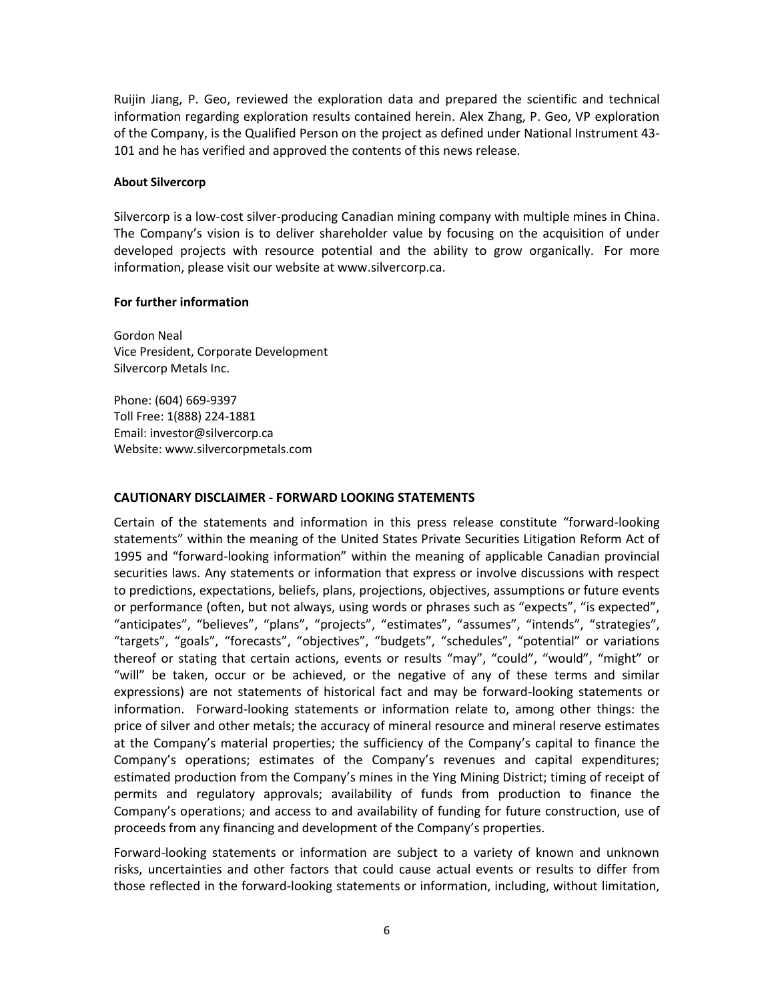Ruijin Jiang, P. Geo, reviewed the exploration data and prepared the scientific and technical information regarding exploration results contained herein. Alex Zhang, P. Geo, VP exploration of the Company, is the Qualified Person on the project as defined under National Instrument 43- 101 and he has verified and approved the contents of this news release.

### **About Silvercorp**

Silvercorp is a low-cost silver-producing Canadian mining company with multiple mines in China. The Company's vision is to deliver shareholder value by focusing on the acquisition of under developed projects with resource potential and the ability to grow organically. For more information, please visit our website at www.silvercorp.ca.

### **For further information**

Gordon Neal Vice President, Corporate Development Silvercorp Metals Inc.

Phone: (604) 669-9397 Toll Free: 1(888) 224-1881 Email: investor@silvercorp.ca Website: www.silvercorpmetals.com

## **CAUTIONARY DISCLAIMER - FORWARD LOOKING STATEMENTS**

Certain of the statements and information in this press release constitute "forward-looking statements" within the meaning of the United States Private Securities Litigation Reform Act of 1995 and "forward-looking information" within the meaning of applicable Canadian provincial securities laws. Any statements or information that express or involve discussions with respect to predictions, expectations, beliefs, plans, projections, objectives, assumptions or future events or performance (often, but not always, using words or phrases such as "expects", "is expected", "anticipates", "believes", "plans", "projects", "estimates", "assumes", "intends", "strategies", "targets", "goals", "forecasts", "objectives", "budgets", "schedules", "potential" or variations thereof or stating that certain actions, events or results "may", "could", "would", "might" or "will" be taken, occur or be achieved, or the negative of any of these terms and similar expressions) are not statements of historical fact and may be forward-looking statements or information. Forward-looking statements or information relate to, among other things: the price of silver and other metals; the accuracy of mineral resource and mineral reserve estimates at the Company's material properties; the sufficiency of the Company's capital to finance the Company's operations; estimates of the Company's revenues and capital expenditures; estimated production from the Company's mines in the Ying Mining District; timing of receipt of permits and regulatory approvals; availability of funds from production to finance the Company's operations; and access to and availability of funding for future construction, use of proceeds from any financing and development of the Company's properties.

Forward-looking statements or information are subject to a variety of known and unknown risks, uncertainties and other factors that could cause actual events or results to differ from those reflected in the forward-looking statements or information, including, without limitation,